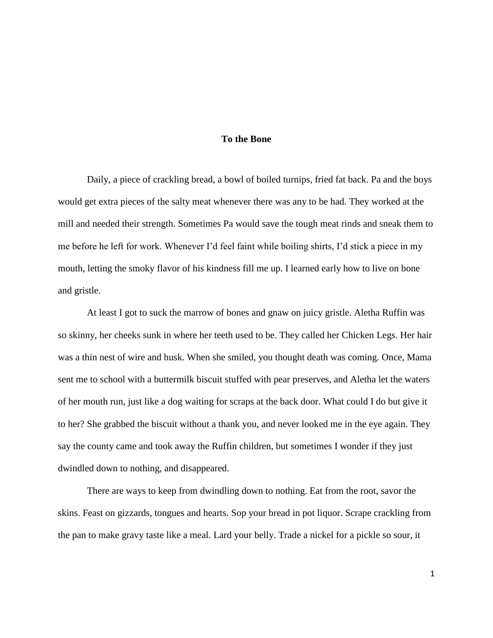## **To the Bone**

Daily, a piece of crackling bread, a bowl of boiled turnips, fried fat back. Pa and the boys would get extra pieces of the salty meat whenever there was any to be had. They worked at the mill and needed their strength. Sometimes Pa would save the tough meat rinds and sneak them to me before he left for work. Whenever I'd feel faint while boiling shirts, I'd stick a piece in my mouth, letting the smoky flavor of his kindness fill me up. I learned early how to live on bone and gristle.

At least I got to suck the marrow of bones and gnaw on juicy gristle. Aletha Ruffin was so skinny, her cheeks sunk in where her teeth used to be. They called her Chicken Legs. Her hair was a thin nest of wire and husk. When she smiled, you thought death was coming. Once, Mama sent me to school with a buttermilk biscuit stuffed with pear preserves, and Aletha let the waters of her mouth run, just like a dog waiting for scraps at the back door. What could I do but give it to her? She grabbed the biscuit without a thank you, and never looked me in the eye again. They say the county came and took away the Ruffin children, but sometimes I wonder if they just dwindled down to nothing, and disappeared.

There are ways to keep from dwindling down to nothing. Eat from the root, savor the skins. Feast on gizzards, tongues and hearts. Sop your bread in pot liquor. Scrape crackling from the pan to make gravy taste like a meal. Lard your belly. Trade a nickel for a pickle so sour, it

1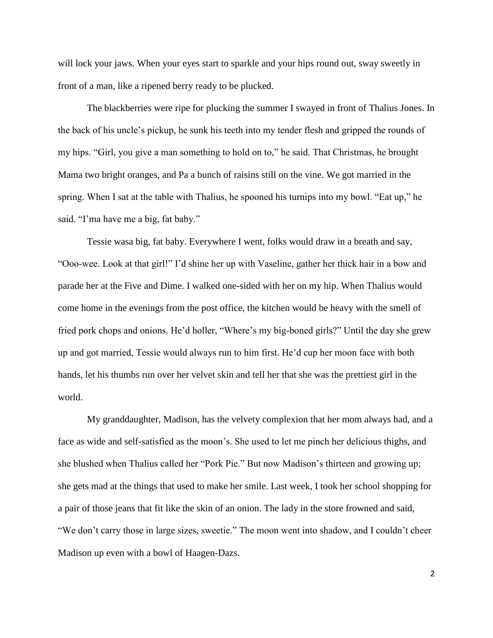will lock your jaws. When your eyes start to sparkle and your hips round out, sway sweetly in front of a man, like a ripened berry ready to be plucked.

The blackberries were ripe for plucking the summer I swayed in front of Thalius Jones. In the back of his uncle's pickup, he sunk his teeth into my tender flesh and gripped the rounds of my hips. "Girl, you give a man something to hold on to," he said. That Christmas, he brought Mama two bright oranges, and Pa a bunch of raisins still on the vine. We got married in the spring. When I sat at the table with Thalius, he spooned his turnips into my bowl. "Eat up," he said. "I'ma have me a big, fat baby."

Tessie wasa big, fat baby. Everywhere I went, folks would draw in a breath and say, "Ooo-wee. Look at that girl!" I'd shine her up with Vaseline, gather her thick hair in a bow and parade her at the Five and Dime. I walked one-sided with her on my hip. When Thalius would come home in the evenings from the post office, the kitchen would be heavy with the smell of fried pork chops and onions. He'd holler, "Where's my big-boned girls?" Until the day she grew up and got married, Tessie would always run to him first. He'd cup her moon face with both hands, let his thumbs run over her velvet skin and tell her that she was the prettiest girl in the world.

My granddaughter, Madison, has the velvety complexion that her mom always had, and a face as wide and self-satisfied as the moon's. She used to let me pinch her delicious thighs, and she blushed when Thalius called her "Pork Pie." But now Madison's thirteen and growing up; she gets mad at the things that used to make her smile. Last week, I took her school shopping for a pair of those jeans that fit like the skin of an onion. The lady in the store frowned and said, "We don't carry those in large sizes, sweetie." The moon went into shadow, and I couldn't cheer Madison up even with a bowl of Haagen-Dazs.

2